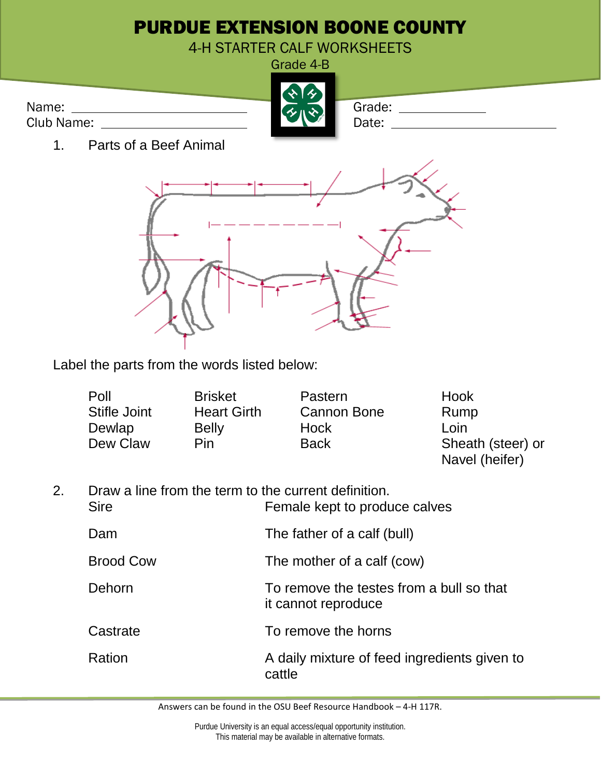

Label the parts from the words listed below:

| Poll                | <b>Brisket</b>     | Pastern            | Hook              |
|---------------------|--------------------|--------------------|-------------------|
| <b>Stifle Joint</b> | <b>Heart Girth</b> | <b>Cannon Bone</b> | Rump              |
| Dewlap              | <b>Belly</b>       | Hock               | Loin              |
| Dew Claw            | <b>Pin</b>         | <b>Back</b>        | Sheath (steer) or |
|                     |                    |                    | Navel (heifer)    |

| Draw a line from the term to the current definition. |                               |  |
|------------------------------------------------------|-------------------------------|--|
| <b>Sire</b>                                          | Female kept to produce calves |  |
| Dam                                                  | The father of a calf (bull)   |  |

Brood Cow The mother of a calf (cow) Dehorn To remove the testes from a bull so that it cannot reproduce Castrate To remove the horns Ration **A** daily mixture of feed ingredients given to cattle